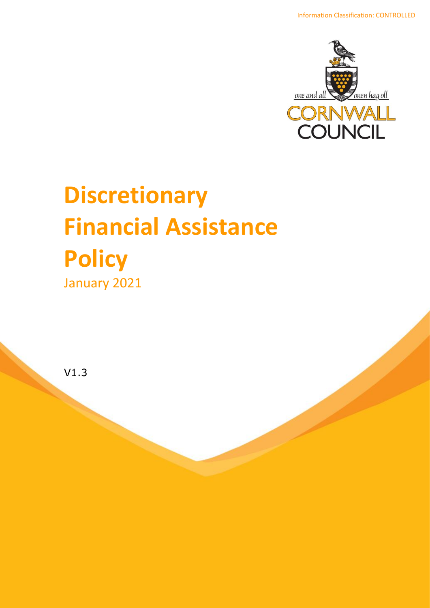

# **Discretionary Financial Assistance Policy**  January 2021

V1.3

Revenues and Assessment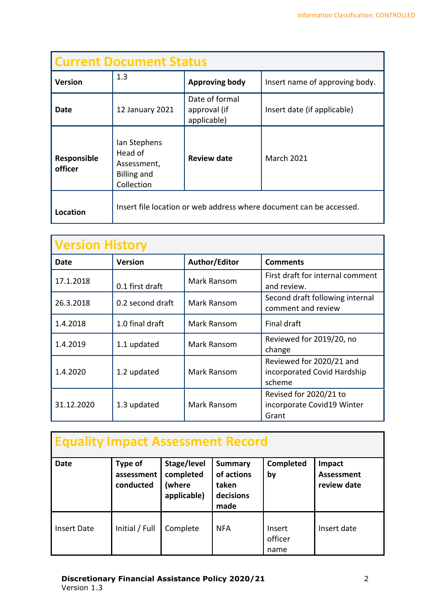| <b>Current Document Status</b> |                                                                            |                                               |                                                                     |  |  |  |  |
|--------------------------------|----------------------------------------------------------------------------|-----------------------------------------------|---------------------------------------------------------------------|--|--|--|--|
| <b>Version</b>                 | 1.3                                                                        | <b>Approving body</b>                         | Insert name of approving body.                                      |  |  |  |  |
| Date                           | 12 January 2021                                                            | Date of formal<br>approval (if<br>applicable) | Insert date (if applicable)                                         |  |  |  |  |
| Responsible<br>officer         | Ian Stephens<br>Head of<br>Assessment,<br><b>Billing and</b><br>Collection | <b>Review date</b>                            | <b>March 2021</b>                                                   |  |  |  |  |
| Location                       |                                                                            |                                               | Insert file location or web address where document can be accessed. |  |  |  |  |

| <b>Version History</b> |                  |                                  |                                                                   |  |  |  |  |
|------------------------|------------------|----------------------------------|-------------------------------------------------------------------|--|--|--|--|
| <b>Date</b>            | <b>Version</b>   | Author/Editor<br><b>Comments</b> |                                                                   |  |  |  |  |
| 17.1.2018              | 0.1 first draft  | Mark Ransom                      | First draft for internal comment<br>and review.                   |  |  |  |  |
| 26.3.2018              | 0.2 second draft | Mark Ransom                      | Second draft following internal<br>comment and review             |  |  |  |  |
| 1.4.2018               | 1.0 final draft  | Mark Ransom                      | Final draft                                                       |  |  |  |  |
| 1.4.2019               | 1.1 updated      | Mark Ransom                      | Reviewed for 2019/20, no<br>change                                |  |  |  |  |
| 1.4.2020               | 1.2 updated      | Mark Ransom                      | Reviewed for 2020/21 and<br>incorporated Covid Hardship<br>scheme |  |  |  |  |
| 31.12.2020             | 1.3 updated      | Mark Ransom                      | Revised for 2020/21 to<br>incorporate Covid19 Winter<br>Grant     |  |  |  |  |

| <b>Equality Impact Assessment Record</b> |                                    |                                                   |                                                            |                           |                                     |  |  |  |  |
|------------------------------------------|------------------------------------|---------------------------------------------------|------------------------------------------------------------|---------------------------|-------------------------------------|--|--|--|--|
| <b>Date</b>                              | Type of<br>assessment<br>conducted | Stage/level<br>completed<br>(where<br>applicable) | <b>Summary</b><br>of actions<br>taken<br>decisions<br>made | Completed<br>by           | Impact<br>Assessment<br>review date |  |  |  |  |
| Insert Date                              | Initial / Full                     | Complete                                          | <b>NFA</b>                                                 | Insert<br>officer<br>name | Insert date                         |  |  |  |  |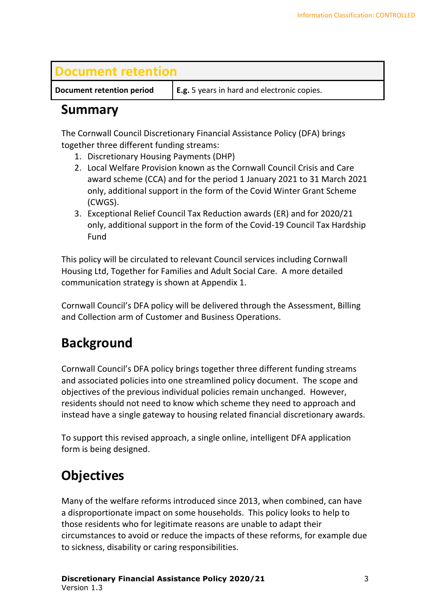#### **Document retention**

**Document retention period E.g.** 5 years in hard and electronic copies.

#### **Summary**

The Cornwall Council Discretionary Financial Assistance Policy (DFA) brings together three different funding streams:

- 1. Discretionary Housing Payments (DHP)
- 2. Local Welfare Provision known as the Cornwall Council Crisis and Care award scheme (CCA) and for the period 1 January 2021 to 31 March 2021 only, additional support in the form of the Covid Winter Grant Scheme (CWGS).
- 3. Exceptional Relief Council Tax Reduction awards (ER) and for 2020/21 only, additional support in the form of the Covid-19 Council Tax Hardship Fund

This policy will be circulated to relevant Council services including Cornwall Housing Ltd, Together for Families and Adult Social Care. A more detailed communication strategy is shown at Appendix 1.

Cornwall Council's DFA policy will be delivered through the Assessment, Billing and Collection arm of Customer and Business Operations.

## **Background**

Cornwall Council's DFA policy brings together three different funding streams and associated policies into one streamlined policy document. The scope and objectives of the previous individual policies remain unchanged. However, residents should not need to know which scheme they need to approach and instead have a single gateway to housing related financial discretionary awards.

To support this revised approach, a single online, intelligent DFA application form is being designed.

# **Objectives**

Many of the welfare reforms introduced since 2013, when combined, can have a disproportionate impact on some households. This policy looks to help to those residents who for legitimate reasons are unable to adapt their circumstances to avoid or reduce the impacts of these reforms, for example due to sickness, disability or caring responsibilities.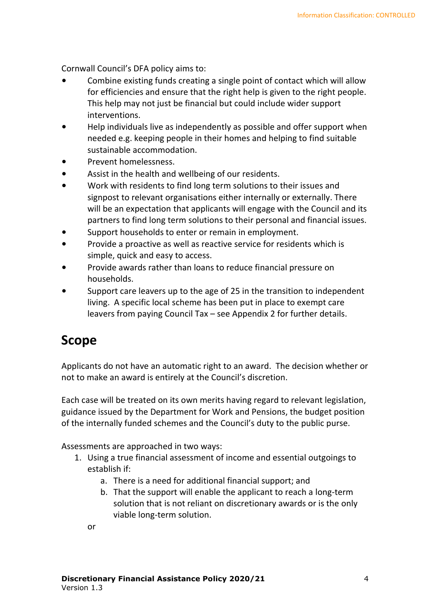Cornwall Council's DFA policy aims to:

- Combine existing funds creating a single point of contact which will allow for efficiencies and ensure that the right help is given to the right people. This help may not just be financial but could include wider support interventions.
- Help individuals live as independently as possible and offer support when needed e.g. keeping people in their homes and helping to find suitable sustainable accommodation.
- Prevent homelessness.
- Assist in the health and wellbeing of our residents.
- Work with residents to find long term solutions to their issues and signpost to relevant organisations either internally or externally. There will be an expectation that applicants will engage with the Council and its partners to find long term solutions to their personal and financial issues.
- Support households to enter or remain in employment.
- Provide a proactive as well as reactive service for residents which is simple, quick and easy to access.
- Provide awards rather than loans to reduce financial pressure on households.
- Support care leavers up to the age of 25 in the transition to independent living. A specific local scheme has been put in place to exempt care leavers from paying Council Tax – see Appendix 2 for further details.

#### **Scope**

Applicants do not have an automatic right to an award. The decision whether or not to make an award is entirely at the Council's discretion.

Each case will be treated on its own merits having regard to relevant legislation, guidance issued by the Department for Work and Pensions, the budget position of the internally funded schemes and the Council's duty to the public purse.

Assessments are approached in two ways:

- 1. Using a true financial assessment of income and essential outgoings to establish if:
	- a. There is a need for additional financial support; and
	- b. That the support will enable the applicant to reach a long-term solution that is not reliant on discretionary awards or is the only viable long-term solution.

or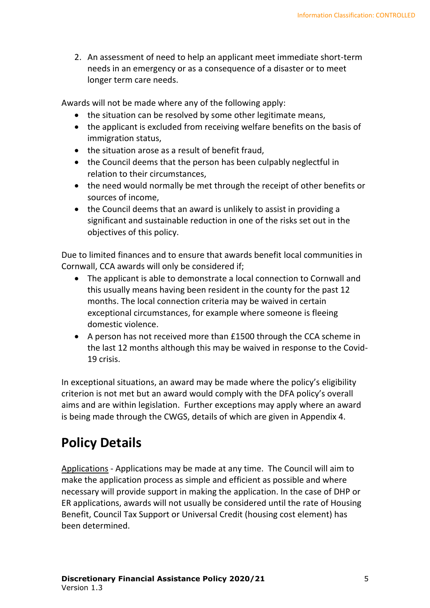2. An assessment of need to help an applicant meet immediate short-term needs in an emergency or as a consequence of a disaster or to meet longer term care needs.

Awards will not be made where any of the following apply:

- the situation can be resolved by some other legitimate means,
- the applicant is excluded from receiving welfare benefits on the basis of immigration status,
- the situation arose as a result of benefit fraud,
- the Council deems that the person has been culpably neglectful in relation to their circumstances,
- the need would normally be met through the receipt of other benefits or sources of income,
- the Council deems that an award is unlikely to assist in providing a significant and sustainable reduction in one of the risks set out in the objectives of this policy.

Due to limited finances and to ensure that awards benefit local communities in Cornwall, CCA awards will only be considered if;

- The applicant is able to demonstrate a local connection to Cornwall and this usually means having been resident in the county for the past 12 months. The local connection criteria may be waived in certain exceptional circumstances, for example where someone is fleeing domestic violence.
- A person has not received more than £1500 through the CCA scheme in the last 12 months although this may be waived in response to the Covid-19 crisis.

In exceptional situations, an award may be made where the policy's eligibility criterion is not met but an award would comply with the DFA policy's overall aims and are within legislation. Further exceptions may apply where an award is being made through the CWGS, details of which are given in Appendix 4.

# **Policy Details**

Applications - Applications may be made at any time. The Council will aim to make the application process as simple and efficient as possible and where necessary will provide support in making the application. In the case of DHP or ER applications, awards will not usually be considered until the rate of Housing Benefit, Council Tax Support or Universal Credit (housing cost element) has been determined.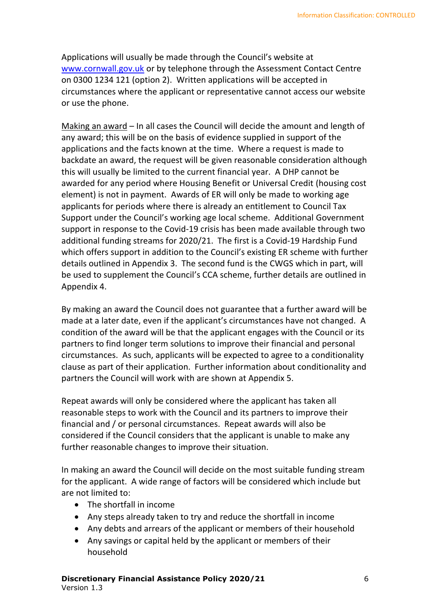Applications will usually be made through the Council's website at [www.cornwall.gov.uk](http://www.cornwall.gov.uk/) or by telephone through the Assessment Contact Centre on 0300 1234 121 (option 2). Written applications will be accepted in circumstances where the applicant or representative cannot access our website or use the phone.

Making an award – In all cases the Council will decide the amount and length of any award; this will be on the basis of evidence supplied in support of the applications and the facts known at the time. Where a request is made to backdate an award, the request will be given reasonable consideration although this will usually be limited to the current financial year. A DHP cannot be awarded for any period where Housing Benefit or Universal Credit (housing cost element) is not in payment. Awards of ER will only be made to working age applicants for periods where there is already an entitlement to Council Tax Support under the Council's working age local scheme. Additional Government support in response to the Covid-19 crisis has been made available through two additional funding streams for 2020/21. The first is a Covid-19 Hardship Fund which offers support in addition to the Council's existing ER scheme with further details outlined in Appendix 3. The second fund is the CWGS which in part, will be used to supplement the Council's CCA scheme, further details are outlined in Appendix 4.

By making an award the Council does not guarantee that a further award will be made at a later date, even if the applicant's circumstances have not changed. A condition of the award will be that the applicant engages with the Council or its partners to find longer term solutions to improve their financial and personal circumstances. As such, applicants will be expected to agree to a conditionality clause as part of their application. Further information about conditionality and partners the Council will work with are shown at Appendix 5.

Repeat awards will only be considered where the applicant has taken all reasonable steps to work with the Council and its partners to improve their financial and / or personal circumstances. Repeat awards will also be considered if the Council considers that the applicant is unable to make any further reasonable changes to improve their situation.

In making an award the Council will decide on the most suitable funding stream for the applicant. A wide range of factors will be considered which include but are not limited to:

- The shortfall in income
- Any steps already taken to try and reduce the shortfall in income
- Any debts and arrears of the applicant or members of their household
- Any savings or capital held by the applicant or members of their household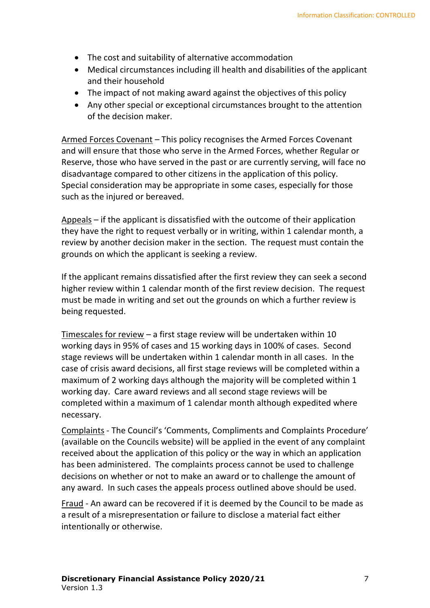- The cost and suitability of alternative accommodation
- Medical circumstances including ill health and disabilities of the applicant and their household
- The impact of not making award against the objectives of this policy
- Any other special or exceptional circumstances brought to the attention of the decision maker.

Armed Forces Covenant – This policy recognises the Armed Forces Covenant and will ensure that those who serve in the Armed Forces, whether Regular or Reserve, those who have served in the past or are currently serving, will face no disadvantage compared to other citizens in the application of this policy. Special consideration may be appropriate in some cases, especially for those such as the injured or bereaved.

Appeals – if the applicant is dissatisfied with the outcome of their application they have the right to request verbally or in writing, within 1 calendar month, a review by another decision maker in the section. The request must contain the grounds on which the applicant is seeking a review.

If the applicant remains dissatisfied after the first review they can seek a second higher review within 1 calendar month of the first review decision. The request must be made in writing and set out the grounds on which a further review is being requested.

Timescales for review – a first stage review will be undertaken within 10 working days in 95% of cases and 15 working days in 100% of cases. Second stage reviews will be undertaken within 1 calendar month in all cases. In the case of crisis award decisions, all first stage reviews will be completed within a maximum of 2 working days although the majority will be completed within 1 working day. Care award reviews and all second stage reviews will be completed within a maximum of 1 calendar month although expedited where necessary.

Complaints - The Council's 'Comments, Compliments and Complaints Procedure' (available on the Councils website) will be applied in the event of any complaint received about the application of this policy or the way in which an application has been administered. The complaints process cannot be used to challenge decisions on whether or not to make an award or to challenge the amount of any award. In such cases the appeals process outlined above should be used.

Fraud - An award can be recovered if it is deemed by the Council to be made as a result of a misrepresentation or failure to disclose a material fact either intentionally or otherwise.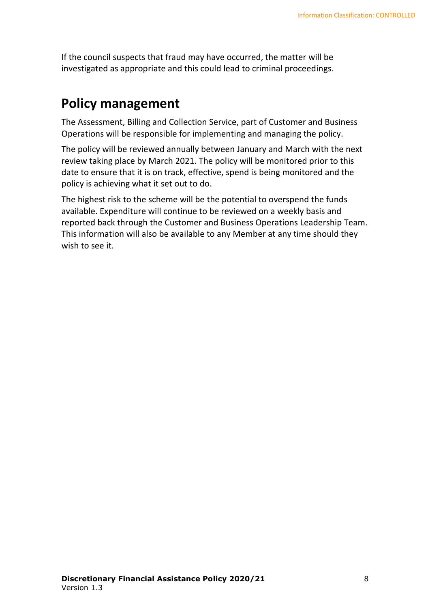If the council suspects that fraud may have occurred, the matter will be investigated as appropriate and this could lead to criminal proceedings.

#### **Policy management**

The Assessment, Billing and Collection Service, part of Customer and Business Operations will be responsible for implementing and managing the policy.

The policy will be reviewed annually between January and March with the next review taking place by March 2021. The policy will be monitored prior to this date to ensure that it is on track, effective, spend is being monitored and the policy is achieving what it set out to do.

The highest risk to the scheme will be the potential to overspend the funds available. Expenditure will continue to be reviewed on a weekly basis and reported back through the Customer and Business Operations Leadership Team. This information will also be available to any Member at any time should they wish to see it.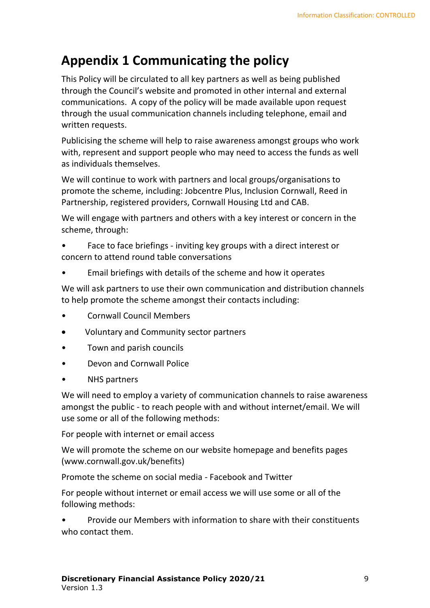#### **Appendix 1 Communicating the policy**

This Policy will be circulated to all key partners as well as being published through the Council's website and promoted in other internal and external communications. A copy of the policy will be made available upon request through the usual communication channels including telephone, email and written requests.

Publicising the scheme will help to raise awareness amongst groups who work with, represent and support people who may need to access the funds as well as individuals themselves.

We will continue to work with partners and local groups/organisations to promote the scheme, including: Jobcentre Plus, Inclusion Cornwall, Reed in Partnership, registered providers, Cornwall Housing Ltd and CAB.

We will engage with partners and others with a key interest or concern in the scheme, through:

• Face to face briefings - inviting key groups with a direct interest or concern to attend round table conversations

• Email briefings with details of the scheme and how it operates

We will ask partners to use their own communication and distribution channels to help promote the scheme amongst their contacts including:

- Cornwall Council Members
- Voluntary and Community sector partners
- Town and parish councils
- Devon and Cornwall Police
- NHS partners

We will need to employ a variety of communication channels to raise awareness amongst the public - to reach people with and without internet/email. We will use some or all of the following methods:

For people with internet or email access

We will promote the scheme on our website homepage and benefits pages (www.cornwall.gov.uk/benefits)

Promote the scheme on social media - Facebook and Twitter

For people without internet or email access we will use some or all of the following methods:

• Provide our Members with information to share with their constituents who contact them.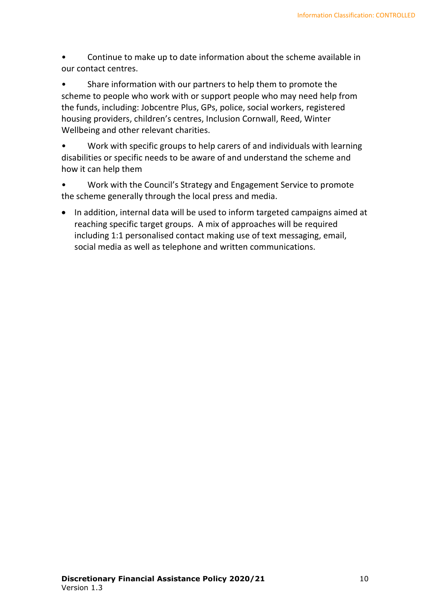• Continue to make up to date information about the scheme available in our contact centres.

Share information with our partners to help them to promote the scheme to people who work with or support people who may need help from the funds, including: Jobcentre Plus, GPs, police, social workers, registered housing providers, children's centres, Inclusion Cornwall, Reed, Winter Wellbeing and other relevant charities.

• Work with specific groups to help carers of and individuals with learning disabilities or specific needs to be aware of and understand the scheme and how it can help them

- Work with the Council's Strategy and Engagement Service to promote the scheme generally through the local press and media.
- In addition, internal data will be used to inform targeted campaigns aimed at reaching specific target groups. A mix of approaches will be required including 1:1 personalised contact making use of text messaging, email, social media as well as telephone and written communications.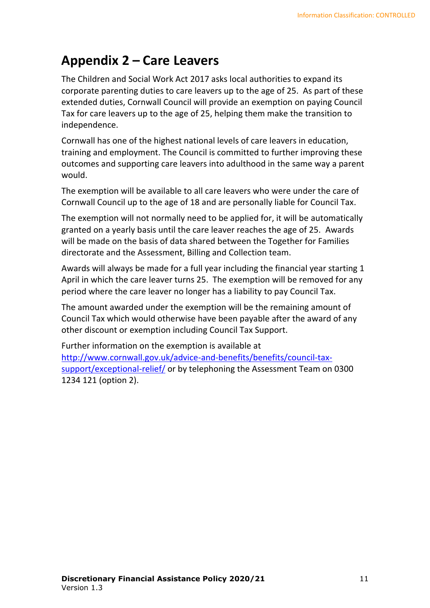#### **Appendix 2 – Care Leavers**

The Children and Social Work Act 2017 asks local authorities to expand its corporate parenting duties to care leavers up to the age of 25. As part of these extended duties, Cornwall Council will provide an exemption on paying Council Tax for care leavers up to the age of 25, helping them make the transition to independence.

Cornwall has one of the highest national levels of care leavers in education, training and employment. The Council is committed to further improving these outcomes and supporting care leavers into adulthood in the same way a parent would.

The exemption will be available to all care leavers who were under the care of Cornwall Council up to the age of 18 and are personally liable for Council Tax.

The exemption will not normally need to be applied for, it will be automatically granted on a yearly basis until the care leaver reaches the age of 25. Awards will be made on the basis of data shared between the Together for Families directorate and the Assessment, Billing and Collection team.

Awards will always be made for a full year including the financial year starting 1 April in which the care leaver turns 25. The exemption will be removed for any period where the care leaver no longer has a liability to pay Council Tax.

The amount awarded under the exemption will be the remaining amount of Council Tax which would otherwise have been payable after the award of any other discount or exemption including Council Tax Support.

Further information on the exemption is available at [http://www.cornwall.gov.uk/advice-and-benefits/benefits/council-tax](http://www.cornwall.gov.uk/advice-and-benefits/benefits/council-tax-support/exceptional-relief/)[support/exceptional-relief/](http://www.cornwall.gov.uk/advice-and-benefits/benefits/council-tax-support/exceptional-relief/) or by telephoning the Assessment Team on 0300 1234 121 (option 2).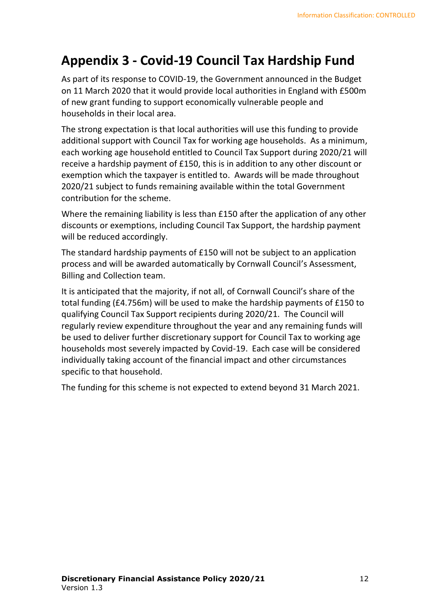#### **Appendix 3 - Covid-19 Council Tax Hardship Fund**

As part of its response to COVID-19, the Government announced in the Budget on 11 March 2020 that it would provide local authorities in England with £500m of new grant funding to support economically vulnerable people and households in their local area.

The strong expectation is that local authorities will use this funding to provide additional support with Council Tax for working age households. As a minimum, each working age household entitled to Council Tax Support during 2020/21 will receive a hardship payment of £150, this is in addition to any other discount or exemption which the taxpayer is entitled to. Awards will be made throughout 2020/21 subject to funds remaining available within the total Government contribution for the scheme.

Where the remaining liability is less than £150 after the application of any other discounts or exemptions, including Council Tax Support, the hardship payment will be reduced accordingly.

The standard hardship payments of £150 will not be subject to an application process and will be awarded automatically by Cornwall Council's Assessment, Billing and Collection team.

It is anticipated that the majority, if not all, of Cornwall Council's share of the total funding (£4.756m) will be used to make the hardship payments of £150 to qualifying Council Tax Support recipients during 2020/21. The Council will regularly review expenditure throughout the year and any remaining funds will be used to deliver further discretionary support for Council Tax to working age households most severely impacted by Covid-19. Each case will be considered individually taking account of the financial impact and other circumstances specific to that household.

The funding for this scheme is not expected to extend beyond 31 March 2021.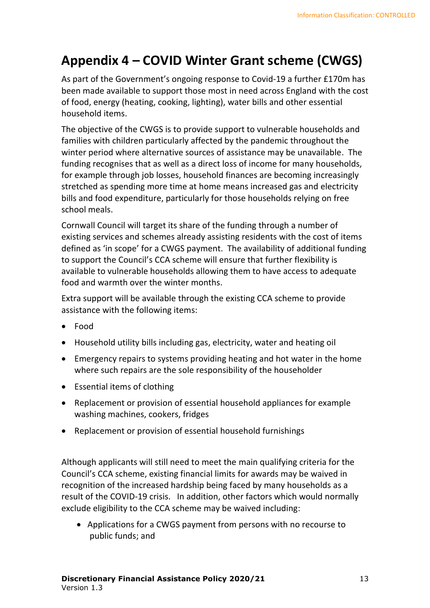#### **Appendix 4 – COVID Winter Grant scheme (CWGS)**

As part of the Government's ongoing response to Covid-19 a further £170m has been made available to support those most in need across England with the cost of food, energy (heating, cooking, lighting), water bills and other essential household items.

The objective of the CWGS is to provide support to vulnerable households and families with children particularly affected by the pandemic throughout the winter period where alternative sources of assistance may be unavailable. The funding recognises that as well as a direct loss of income for many households, for example through job losses, household finances are becoming increasingly stretched as spending more time at home means increased gas and electricity bills and food expenditure, particularly for those households relying on free school meals.

Cornwall Council will target its share of the funding through a number of existing services and schemes already assisting residents with the cost of items defined as 'in scope' for a CWGS payment. The availability of additional funding to support the Council's CCA scheme will ensure that further flexibility is available to vulnerable households allowing them to have access to adequate food and warmth over the winter months.

Extra support will be available through the existing CCA scheme to provide assistance with the following items:

- Food
- Household utility bills including gas, electricity, water and heating oil
- Emergency repairs to systems providing heating and hot water in the home where such repairs are the sole responsibility of the householder
- Essential items of clothing
- Replacement or provision of essential household appliances for example washing machines, cookers, fridges
- Replacement or provision of essential household furnishings

Although applicants will still need to meet the main qualifying criteria for the Council's CCA scheme, existing financial limits for awards may be waived in recognition of the increased hardship being faced by many households as a result of the COVID-19 crisis. In addition, other factors which would normally exclude eligibility to the CCA scheme may be waived including:

• Applications for a CWGS payment from persons with no recourse to public funds; and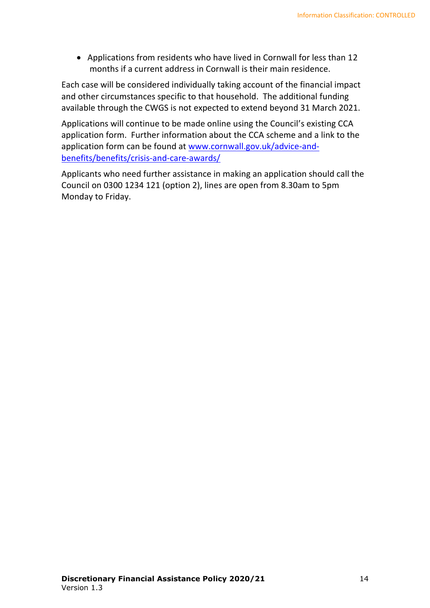• Applications from residents who have lived in Cornwall for less than 12 months if a current address in Cornwall is their main residence.

Each case will be considered individually taking account of the financial impact and other circumstances specific to that household. The additional funding available through the CWGS is not expected to extend beyond 31 March 2021.

Applications will continue to be made online using the Council's existing CCA application form. Further information about the CCA scheme and a link to the application form can be found at [www.cornwall.gov.uk/advice-and](http://www.cornwall.gov.uk/advice-and-benefits/benefits/crisis-and-care-awards/)[benefits/benefits/crisis-and-care-awards/](http://www.cornwall.gov.uk/advice-and-benefits/benefits/crisis-and-care-awards/)

Applicants who need further assistance in making an application should call the Council on 0300 1234 121 (option 2), lines are open from 8.30am to 5pm Monday to Friday.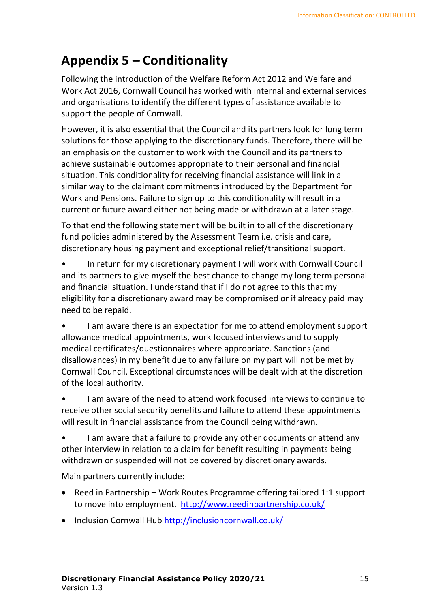## **Appendix 5 – Conditionality**

Following the introduction of the Welfare Reform Act 2012 and Welfare and Work Act 2016, Cornwall Council has worked with internal and external services and organisations to identify the different types of assistance available to support the people of Cornwall.

However, it is also essential that the Council and its partners look for long term solutions for those applying to the discretionary funds. Therefore, there will be an emphasis on the customer to work with the Council and its partners to achieve sustainable outcomes appropriate to their personal and financial situation. This conditionality for receiving financial assistance will link in a similar way to the claimant commitments introduced by the Department for Work and Pensions. Failure to sign up to this conditionality will result in a current or future award either not being made or withdrawn at a later stage.

To that end the following statement will be built in to all of the discretionary fund policies administered by the Assessment Team i.e. crisis and care, discretionary housing payment and exceptional relief/transitional support.

• In return for my discretionary payment I will work with Cornwall Council and its partners to give myself the best chance to change my long term personal and financial situation. I understand that if I do not agree to this that my eligibility for a discretionary award may be compromised or if already paid may need to be repaid.

• I am aware there is an expectation for me to attend employment support allowance medical appointments, work focused interviews and to supply medical certificates/questionnaires where appropriate. Sanctions (and disallowances) in my benefit due to any failure on my part will not be met by Cornwall Council. Exceptional circumstances will be dealt with at the discretion of the local authority.

• I am aware of the need to attend work focused interviews to continue to receive other social security benefits and failure to attend these appointments will result in financial assistance from the Council being withdrawn.

I am aware that a failure to provide any other documents or attend any other interview in relation to a claim for benefit resulting in payments being withdrawn or suspended will not be covered by discretionary awards.

Main partners currently include:

- Reed in Partnership Work Routes Programme offering tailored 1:1 support to move into employment. <http://www.reedinpartnership.co.uk/>
- Inclusion Cornwall Hub <http://inclusioncornwall.co.uk/>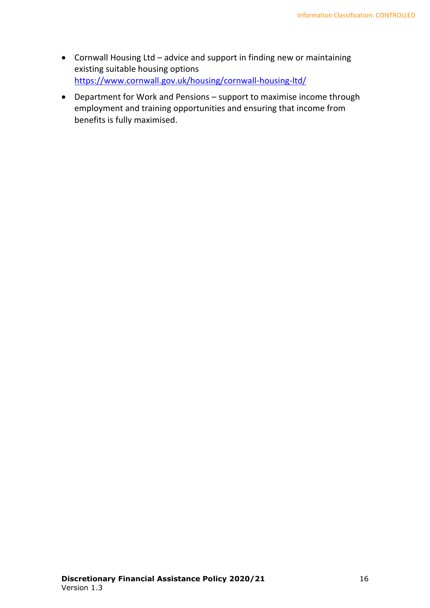- Cornwall Housing Ltd advice and support in finding new or maintaining existing suitable housing options <https://www.cornwall.gov.uk/housing/cornwall-housing-ltd/>
- Department for Work and Pensions support to maximise income through employment and training opportunities and ensuring that income from benefits is fully maximised.